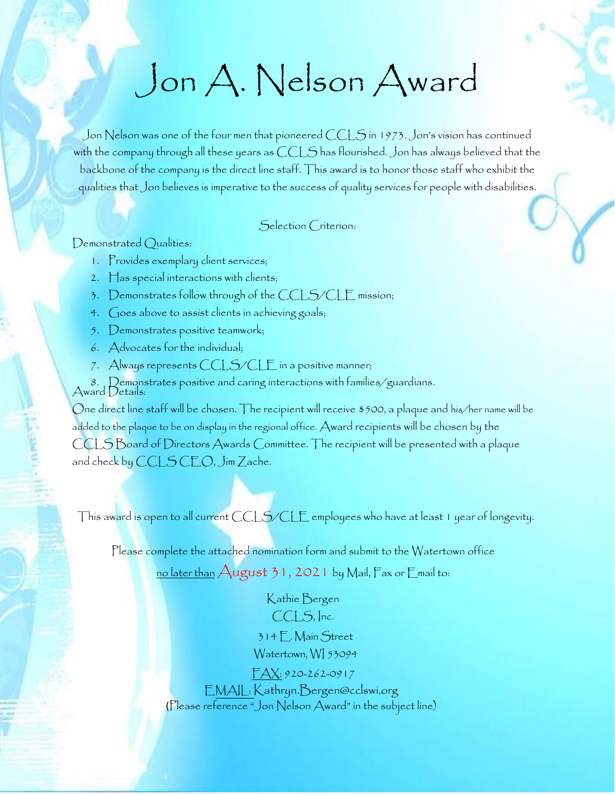## Jon A. Nelson Award

Jon Nelson was one of the four men that pioneered CCLS in 1973. Jon's vision has continued with the company through all these years as CCLS has flourished. Jon has always believed that the backbone of the company is the direct line staff. This award is to honor those staff who exhibit the qualities that Jon believes is imperative to the success of quality services for people with disabilities.

Selection Criterion:

Demonstrated Qualities:

- 1. Provides exemplary client services;
- 2. Has special interactions with clients;
- 3. Demonstrates follow through of the CCLS/CLE mission;
- 4. Goes above to assist clients in achieving goals;
- 5. Demonstrates positive teamwork;
- 6. Advocates for the individual;
- 7. Always represents  $CCLS/CLE$  in a positive manner;

8. Demonstrates positive and caring interactions with families/guardians. Award Details:

One direct line staff will be chosen. The recipient will receive \$500, a plaque and his/her name will be added to the plaque to be on display in the regional office. Award recipients will be chosen by the CCLS Board of Directors Awards Committee. The recipient will be presented with a plaque and check by CCLS CEO, Jim Zache.

This award is open to all current CCLS/CLE employees who have at least 1 year of longevity.

Please complete the attached nomination form and submit to the Watertown office

no later than  $\bigwedge$ ugust 31, 2021 by Mail,  $\bigtriangledown$ ax or  $\bigtriangledown$ mail to:

Kathie Bergen CCLS, Inc.

314 E. Main Street Watertown, WI 53094

FAX: 920-262-0917

EMAIL: Kathryn.Bergen@cclswi.org (Please reference "Jon Nelson Award" in the subject line)